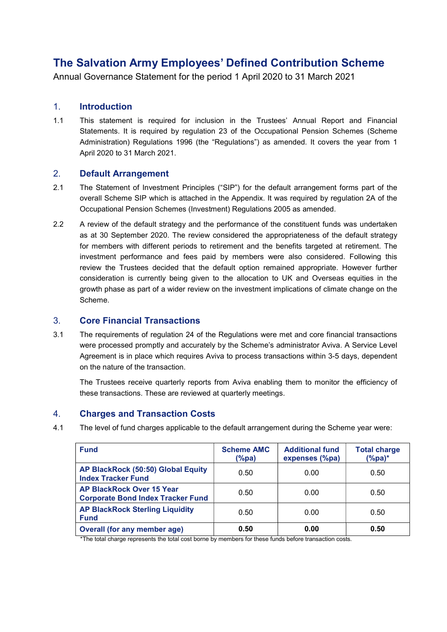# The Salvation Army Employees' Defined Contribution Scheme

Annual Governance Statement for the period 1 April 2020 to 31 March 2021

#### 1. Introduction

1.1 This statement is required for inclusion in the Trustees' Annual Report and Financial Statements. It is required by regulation 23 of the Occupational Pension Schemes (Scheme Administration) Regulations 1996 (the "Regulations") as amended. It covers the year from 1 April 2020 to 31 March 2021.

#### 2. Default Arrangement

- 2.1 The Statement of Investment Principles ("SIP") for the default arrangement forms part of the overall Scheme SIP which is attached in the Appendix. It was required by regulation 2A of the Occupational Pension Schemes (Investment) Regulations 2005 as amended.
- 2.2 A review of the default strategy and the performance of the constituent funds was undertaken as at 30 September 2020. The review considered the appropriateness of the default strategy for members with different periods to retirement and the benefits targeted at retirement. The investment performance and fees paid by members were also considered. Following this review the Trustees decided that the default option remained appropriate. However further consideration is currently being given to the allocation to UK and Overseas equities in the growth phase as part of a wider review on the investment implications of climate change on the Scheme.

## 3. Core Financial Transactions

3.1 The requirements of regulation 24 of the Regulations were met and core financial transactions were processed promptly and accurately by the Scheme's administrator Aviva. A Service Level Agreement is in place which requires Aviva to process transactions within 3-5 days, dependent on the nature of the transaction.

The Trustees receive quarterly reports from Aviva enabling them to monitor the efficiency of these transactions. These are reviewed at quarterly meetings.

## 4. Charges and Transaction Costs

4.1 The level of fund charges applicable to the default arrangement during the Scheme year were:

| <b>Fund</b>                                                                  | <b>Scheme AMC</b><br>$(\%pa)$ | <b>Additional fund</b><br>expenses (%pa) | <b>Total charge</b><br>$%pa)*$ |
|------------------------------------------------------------------------------|-------------------------------|------------------------------------------|--------------------------------|
| AP BlackRock (50:50) Global Equity<br><b>Index Tracker Fund</b>              | 0.50                          | 0.00                                     | 0.50                           |
| <b>AP BlackRock Over 15 Year</b><br><b>Corporate Bond Index Tracker Fund</b> | 0.50                          | 0.00                                     | 0.50                           |
| <b>AP BlackRock Sterling Liquidity</b><br><b>Fund</b>                        | 0.50                          | 0.00                                     | 0.50                           |
| Overall (for any member age)                                                 | 0.50                          | 0.00                                     | 0.50                           |

\*The total charge represents the total cost borne by members for these funds before transaction costs.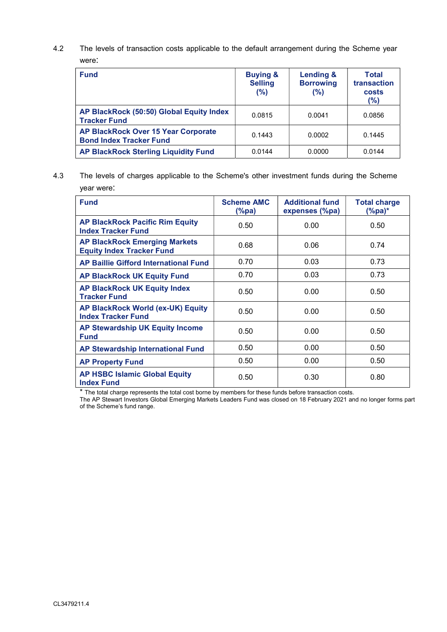4.2 The levels of transaction costs applicable to the default arrangement during the Scheme year were:

| <b>Fund</b>                                                                  | <b>Buying &amp;</b><br><b>Selling</b><br>(%) | <b>Lending &amp;</b><br><b>Borrowing</b><br>(%) | Total<br>transaction<br>costs<br>(%) |
|------------------------------------------------------------------------------|----------------------------------------------|-------------------------------------------------|--------------------------------------|
| AP BlackRock (50:50) Global Equity Index<br><b>Tracker Fund</b>              | 0.0815                                       | 0.0041                                          | 0.0856                               |
| <b>AP BlackRock Over 15 Year Corporate</b><br><b>Bond Index Tracker Fund</b> | 0.1443                                       | 0.0002                                          | 0.1445                               |
| <b>AP BlackRock Sterling Liquidity Fund</b>                                  | 0.0144                                       | 0.0000                                          | 0.0144                               |

4.3 The levels of charges applicable to the Scheme's other investment funds during the Scheme year were:

| <b>Fund</b>                                                              | <b>Scheme AMC</b><br>(%pa) | <b>Additional fund</b><br>expenses (%pa) | <b>Total charge</b><br>(%pa)* |
|--------------------------------------------------------------------------|----------------------------|------------------------------------------|-------------------------------|
| <b>AP BlackRock Pacific Rim Equity</b><br><b>Index Tracker Fund</b>      | 0.50                       | 0.00                                     | 0.50                          |
| <b>AP BlackRock Emerging Markets</b><br><b>Equity Index Tracker Fund</b> | 0.68                       | 0.06                                     | 0.74                          |
| <b>AP Baillie Gifford International Fund</b>                             | 0.70                       | 0.03                                     | 0.73                          |
| <b>AP BlackRock UK Equity Fund</b>                                       | 0.70                       | 0.03                                     | 0.73                          |
| <b>AP BlackRock UK Equity Index</b><br><b>Tracker Fund</b>               | 0.50                       | 0.00                                     | 0.50                          |
| AP BlackRock World (ex-UK) Equity<br><b>Index Tracker Fund</b>           | 0.50                       | 0.00                                     | 0.50                          |
| <b>AP Stewardship UK Equity Income</b><br><b>Fund</b>                    | 0.50                       | 0.00                                     | 0.50                          |
| <b>AP Stewardship International Fund</b>                                 | 0.50                       | 0.00                                     | 0.50                          |
| <b>AP Property Fund</b>                                                  | 0.50                       | 0.00                                     | 0.50                          |
| <b>AP HSBC Islamic Global Equity</b><br><b>Index Fund</b>                | 0.50                       | 0.30                                     | 0.80                          |

\* The total charge represents the total cost borne by members for these funds before transaction costs.

The AP Stewart Investors Global Emerging Markets Leaders Fund was closed on 18 February 2021 and no longer forms part of the Scheme's fund range.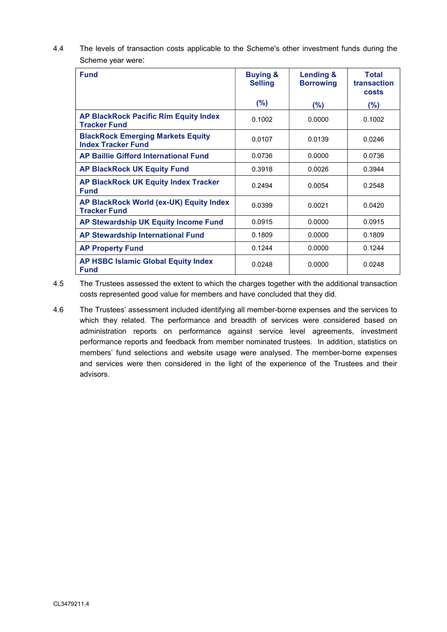4.4 The levels of transaction costs applicable to the Scheme's other investment funds during the Scheme year were:

| <b>Fund</b>                                                           | <b>Buying &amp;</b><br><b>Selling</b> | <b>Lending &amp;</b><br><b>Borrowing</b> | <b>Total</b><br>transaction<br>costs |
|-----------------------------------------------------------------------|---------------------------------------|------------------------------------------|--------------------------------------|
|                                                                       | (%)                                   | (%)                                      | (%)                                  |
| <b>AP BlackRock Pacific Rim Equity Index</b><br><b>Tracker Fund</b>   | 0.1002                                | 0.0000                                   | 0.1002                               |
| <b>BlackRock Emerging Markets Equity</b><br><b>Index Tracker Fund</b> | 0.0107                                | 0.0139                                   | 0.0246                               |
| <b>AP Baillie Gifford International Fund</b>                          | 0.0736                                | 0.0000                                   | 0.0736                               |
| <b>AP BlackRock UK Equity Fund</b>                                    | 0.3918                                | 0.0026                                   | 0.3944                               |
| <b>AP BlackRock UK Equity Index Tracker</b><br><b>Fund</b>            | 0.2494                                | 0.0054                                   | 0.2548                               |
| AP BlackRock World (ex-UK) Equity Index<br><b>Tracker Fund</b>        | 0.0399                                | 0.0021                                   | 0.0420                               |
| AP Stewardship UK Equity Income Fund                                  | 0.0915                                | 0.0000                                   | 0.0915                               |
| <b>AP Stewardship International Fund</b>                              | 0.1809                                | 0.0000                                   | 0.1809                               |
| <b>AP Property Fund</b>                                               | 0.1244                                | 0.0000                                   | 0.1244                               |
| <b>AP HSBC Islamic Global Equity Index</b><br><b>Fund</b>             | 0.0248                                | 0.0000                                   | 0.0248                               |

4.5 The Trustees assessed the extent to which the charges together with the additional transaction costs represented good value for members and have concluded that they did.

4.6 The Trustees' assessment included identifying all member-borne expenses and the services to which they related. The performance and breadth of services were considered based on administration reports on performance against service level agreements, investment performance reports and feedback from member nominated trustees. In addition, statistics on members' fund selections and website usage were analysed. The member-borne expenses and services were then considered in the light of the experience of the Trustees and their advisors.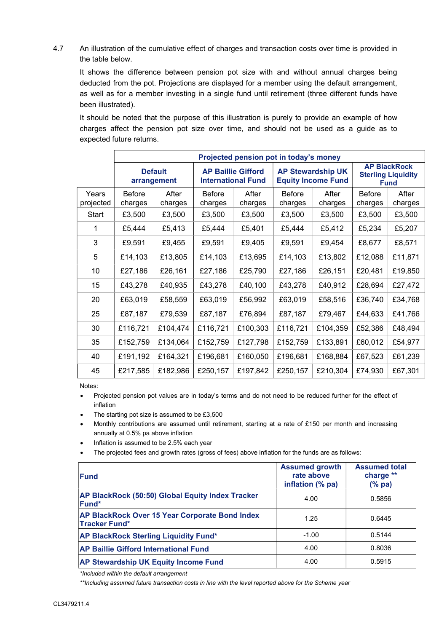4.7 An illustration of the cumulative effect of charges and transaction costs over time is provided in the table below.

It shows the difference between pension pot size with and without annual charges being deducted from the pot. Projections are displayed for a member using the default arrangement, as well as for a member investing in a single fund until retirement (three different funds have been illustrated).

It should be noted that the purpose of this illustration is purely to provide an example of how charges affect the pension pot size over time, and should not be used as a guide as to expected future returns.

|                    | Projected pension pot in today's money |                               |                          |                                                        |                          |                                                       |                          |                                                                 |
|--------------------|----------------------------------------|-------------------------------|--------------------------|--------------------------------------------------------|--------------------------|-------------------------------------------------------|--------------------------|-----------------------------------------------------------------|
|                    |                                        | <b>Default</b><br>arrangement |                          | <b>AP Baillie Gifford</b><br><b>International Fund</b> |                          | <b>AP Stewardship UK</b><br><b>Equity Income Fund</b> |                          | <b>AP BlackRock</b><br><b>Sterling Liquidity</b><br><b>Fund</b> |
| Years<br>projected | <b>Before</b><br>charges               | After<br>charges              | <b>Before</b><br>charges | After<br>charges                                       | <b>Before</b><br>charges | After<br>charges                                      | <b>Before</b><br>charges | After<br>charges                                                |
| Start              | £3,500                                 | £3,500                        | £3,500                   | £3,500                                                 | £3,500                   | £3,500                                                | £3,500                   | £3,500                                                          |
| 1                  | £5,444                                 | £5,413                        | £5,444                   | £5,401                                                 | £5,444                   | £5,412                                                | £5,234                   | £5,207                                                          |
| 3                  | £9,591                                 | £9,455                        | £9,591                   | £9,405                                                 | £9,591                   | £9,454                                                | £8,677                   | £8,571                                                          |
| 5                  | £14,103                                | £13,805                       | £14,103                  | £13,695                                                | £14,103                  | £13,802                                               | £12,088                  | £11,871                                                         |
| 10                 | £27,186                                | £26,161                       | £27,186                  | £25,790                                                | £27,186                  | £26,151                                               | £20,481                  | £19,850                                                         |
| 15                 | £43,278                                | £40,935                       | £43,278                  | £40,100                                                | £43,278                  | £40,912                                               | £28,694                  | £27,472                                                         |
| 20                 | £63,019                                | £58,559                       | £63,019                  | £56,992                                                | £63,019                  | £58,516                                               | £36,740                  | £34,768                                                         |
| 25                 | £87,187                                | £79,539                       | £87,187                  | £76,894                                                | £87,187                  | £79,467                                               | £44,633                  | £41,766                                                         |
| 30                 | £116,721                               | £104,474                      | £116,721                 | £100,303                                               | £116,721                 | £104,359                                              | £52,386                  | £48,494                                                         |
| 35                 | £152,759                               | £134,064                      | £152,759                 | £127,798                                               | £152,759                 | £133,891                                              | £60,012                  | £54,977                                                         |
| 40                 | £191,192                               | £164,321                      | £196,681                 | £160,050                                               | £196,681                 | £168,884                                              | £67,523                  | £61,239                                                         |
| 45                 | £217,585                               | £182,986                      | £250,157                 | £197,842                                               | £250,157                 | £210,304                                              | £74,930                  | £67,301                                                         |

Notes:

- Projected pension pot values are in today's terms and do not need to be reduced further for the effect of inflation
- The starting pot size is assumed to be £3,500
- Monthly contributions are assumed until retirement, starting at a rate of £150 per month and increasing annually at 0.5% pa above inflation
- Inflation is assumed to be 2.5% each year
- The projected fees and growth rates (gross of fees) above inflation for the funds are as follows:

| Fund                                                                          | <b>Assumed growth</b><br>rate above<br>inflation (% pa) | <b>Assumed total</b><br>charge **<br>(% pa) |
|-------------------------------------------------------------------------------|---------------------------------------------------------|---------------------------------------------|
| AP BlackRock (50:50) Global Equity Index Tracker<br>Fund*                     | 4.00                                                    | 0.5856                                      |
| <b>AP BlackRock Over 15 Year Corporate Bond Index</b><br><b>Tracker Fund*</b> | 1.25                                                    | 0.6445                                      |
| <b>AP BlackRock Sterling Liquidity Fund*</b>                                  | $-1.00$                                                 | 0.5144                                      |
| <b>AP Baillie Gifford International Fund</b>                                  | 4.00                                                    | 0.8036                                      |
| <b>AP Stewardship UK Equity Income Fund</b>                                   | 4.00                                                    | 0.5915                                      |

\*Included within the default arrangement

\*\*Including assumed future transaction costs in line with the level reported above for the Scheme year